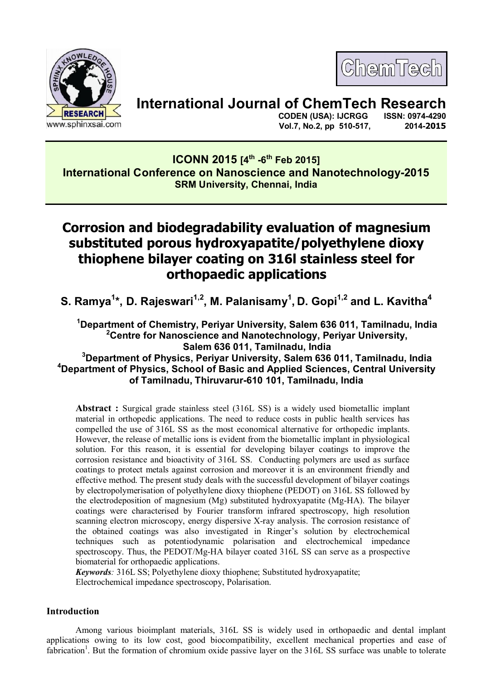

ChemTech

# **International Journal of ChemTech Research**

 **CODEN (USA): IJCRGG Vol.7, No.2, pp 510-517, 2014-2015**

# **ICONN 2015 [4th -6th Feb 2015] International Conference on Nanoscience and Nanotechnology-2015 SRM University, Chennai, India**

# **Corrosion and biodegradability evaluation of magnesium substituted porous hydroxyapatite/polyethylene dioxy thiophene bilayer coating on 316l stainless steel for orthopaedic applications**

**S. Ramya<sup>1</sup> \*, D. Rajeswari1,2, M. Palanisamy<sup>1</sup> , D. Gopi1,2 and L. Kavitha<sup>4</sup>**

**<sup>1</sup>Department of Chemistry, Periyar University, Salem 636 011, Tamilnadu, India <sup>2</sup>Centre for Nanoscience and Nanotechnology, Periyar University, Salem 636 011, Tamilnadu, India**

## **<sup>3</sup>Department of Physics, Periyar University, Salem 636 011, Tamilnadu, India <sup>4</sup>Department of Physics, School of Basic and Applied Sciences, Central University of Tamilnadu, Thiruvarur-610 101, Tamilnadu, India**

**Abstract :** Surgical grade stainless steel (316L SS) is a widely used biometallic implant material in orthopedic applications. The need to reduce costs in public health services has compelled the use of 316L SS as the most economical alternative for orthopedic implants. However, the release of metallic ions is evident from the biometallic implant in physiological solution. For this reason, it is essential for developing bilayer coatings to improve the corrosion resistance and bioactivity of 316L SS. Conducting polymers are used as surface coatings to protect metals against corrosion and moreover it is an environment friendly and effective method. The present study deals with the successful development of bilayer coatings by electropolymerisation of polyethylene dioxy thiophene (PEDOT) on 316L SS followed by the electrodeposition of magnesium (Mg) substituted hydroxyapatite (Mg-HA). The bilayer coatings were characterised by Fourier transform infrared spectroscopy, high resolution scanning electron microscopy, energy dispersive X-ray analysis. The corrosion resistance of the obtained coatings was also investigated in Ringer's solution by electrochemical techniques such as potentiodynamic polarisation and electrochemical impedance spectroscopy. Thus, the PEDOT/Mg-HA bilayer coated 316L SS can serve as a prospective biomaterial for orthopaedic applications.

*Keywords:* 316L SS; Polyethylene dioxy thiophene; Substituted hydroxyapatite; Electrochemical impedance spectroscopy, Polarisation.

### **Introduction**

 Among various bioimplant materials, 316L SS is widely used in orthopaedic and dental implant applications owing to its low cost, good biocompatibility, excellent mechanical properties and ease of fabrication<sup>1</sup>. But the formation of chromium oxide passive layer on the 316L SS surface was unable to tolerate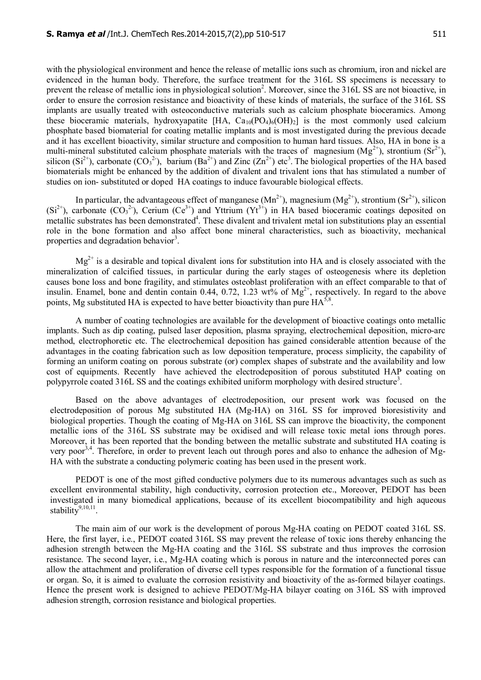with the physiological environment and hence the release of metallic ions such as chromium, iron and nickel are evidenced in the human body. Therefore, the surface treatment for the 316L SS specimens is necessary to prevent the release of metallic ions in physiological solution<sup>2</sup>. Moreover, since the 316L SS are not bioactive, in order to ensure the corrosion resistance and bioactivity of these kinds of materials, the surface of the 316L SS implants are usually treated with osteoconductive materials such as calcium phosphate bioceramics. Among these bioceramic materials, hydroxyapatite [HA,  $Ca_{10}(PO_4)_6(OH)_2$ ] is the most commonly used calcium phosphate based biomaterial for coating metallic implants and is most investigated during the previous decade and it has excellent bioactivity, similar structure and composition to human hard tissues. Also, HA in bone is a multi-mineral substituted calcium phosphate materials with the traces of magnesium ( $Mg^{2+}$ ), strontium (Sr<sup>2+</sup>), silicon (Si<sup>2+</sup>), carbonate (CO<sub>3</sub><sup>2-</sup>), barium (Ba<sup>2+</sup>) and Zinc (Zn<sup>2+</sup>) etc<sup>3</sup>. The biological properties of the HA based biomaterials might be enhanced by the addition of divalent and trivalent ions that has stimulated a number of studies on ion- substituted or doped HA coatings to induce favourable biological effects.

In particular, the advantageous effect of manganese  $(Mn^{2+})$ , magnesium  $(Mg^{2+})$ , strontium  $(Sr^{2+})$ , silicon  $(Si^{2+})$ , carbonate  $(CO<sub>3</sub><sup>2</sup>)$ , Cerium  $(Ce<sup>3+</sup>)$  and Yttrium  $(Yt<sup>3+</sup>)$  in HA based bioceramic coatings deposited on metallic substrates has been demonstrated<sup>4</sup>. These divalent and trivalent metal ion substitutions play an essential role in the bone formation and also affect bone mineral characteristics, such as bioactivity, mechanical properties and degradation behavior<sup>3</sup>.

 $Mg^{2+}$  is a desirable and topical divalent ions for substitution into HA and is closely associated with the mineralization of calcified tissues, in particular during the early stages of osteogenesis where its depletion causes bone loss and bone fragility, and stimulates osteoblast proliferation with an effect comparable to that of insulin. Enamel, bone and dentin contain 0.44, 0.72, 1.23 wt% of  $Mg^{2+}$ , respectively. In regard to the above points, Mg substituted HA is expected to have better bioactivity than pure  $HA^{5,8}$ .

A number of coating technologies are available for the development of bioactive coatings onto metallic implants. Such as dip coating, pulsed laser deposition, plasma spraying, electrochemical deposition, micro-arc method, electrophoretic etc. The electrochemical deposition has gained considerable attention because of the advantages in the coating fabrication such as low deposition temperature, process simplicity, the capability of forming an uniform coating on porous substrate (or) complex shapes of substrate and the availability and low cost of equipments. Recently have achieved the electrodeposition of porous substituted HAP coating on polypyrrole coated 316L SS and the coatings exhibited uniform morphology with desired structure<sup>3</sup>.

Based on the above advantages of electrodeposition, our present work was focused on the electrodeposition of porous Mg substituted HA (Mg-HA) on 316L SS for improved bioresistivity and biological properties. Though the coating of Mg-HA on 316L SS can improve the bioactivity, the component metallic ions of the 316L SS substrate may be oxidised and will release toxic metal ions through pores. Moreover, it has been reported that the bonding between the metallic substrate and substituted HA coating is very poor<sup>3,4</sup>. Therefore, in order to prevent leach out through pores and also to enhance the adhesion of Mg-HA with the substrate a conducting polymeric coating has been used in the present work.

PEDOT is one of the most gifted conductive polymers due to its numerous advantages such as such as excellent environmental stability, high conductivity, corrosion protection etc., Moreover, PEDOT has been investigated in many biomedical applications, because of its excellent biocompatibility and high aqueous stability<sup>9,10,11</sup>.

The main aim of our work is the development of porous Mg-HA coating on PEDOT coated 316L SS. Here, the first layer, i.e., PEDOT coated 316L SS may prevent the release of toxic ions thereby enhancing the adhesion strength between the Mg-HA coating and the 316L SS substrate and thus improves the corrosion resistance. The second layer, i.e., Mg-HA coating which is porous in nature and the interconnected pores can allow the attachment and proliferation of diverse cell types responsible for the formation of a functional tissue or organ. So, it is aimed to evaluate the corrosion resistivity and bioactivity of the as-formed bilayer coatings. Hence the present work is designed to achieve PEDOT/Mg-HA bilayer coating on 316L SS with improved adhesion strength, corrosion resistance and biological properties.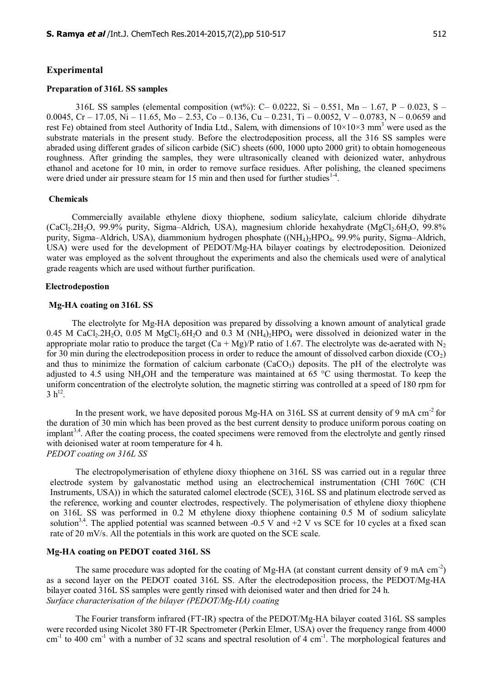#### **Experimental**

#### **Preparation of 316L SS samples**

316L SS samples (elemental composition (wt%): C– 0.0222, Si – 0.551, Mn – 1.67, P – 0.023, S – 0.0045, Cr – 17.05, Ni – 11.65, Mo – 2.53, Co – 0.136, Cu – 0.231, Ti – 0.0052, V – 0.0783, N – 0.0659 and rest Fe) obtained from steel Authority of India Ltd., Salem, with dimensions of  $10\times10\times3$  mm<sup>3</sup> were used as the substrate materials in the present study. Before the electrodeposition process, all the 316 SS samples were abraded using different grades of silicon carbide (SiC) sheets (600, 1000 upto 2000 grit) to obtain homogeneous roughness. After grinding the samples, they were ultrasonically cleaned with deionized water, anhydrous ethanol and acetone for 10 min, in order to remove surface residues. After polishing, the cleaned specimens were dried under air pressure steam for 15 min and then used for further studies $14$ .

#### **Chemicals**

Commercially available ethylene dioxy thiophene, sodium salicylate, calcium chloride dihydrate  $(CaCl<sub>2</sub>.2H<sub>2</sub>O, 99.9%$  purity, Sigma–Aldrich, USA), magnesium chloride hexahydrate  $(MgCl<sub>2</sub>.6H<sub>2</sub>O, 99.8%$ purity, Sigma–Aldrich, USA), diammonium hydrogen phosphate ((NH4)2HPO4, 99.9% purity, Sigma–Aldrich, USA) were used for the development of PEDOT/Mg-HA bilayer coatings by electrodeposition. Deionized water was employed as the solvent throughout the experiments and also the chemicals used were of analytical grade reagents which are used without further purification.

#### **Electrodepostion**

#### **Mg-HA coating on 316L SS**

The electrolyte for Mg-HA deposition was prepared by dissolving a known amount of analytical grade 0.45 M CaCl<sub>2</sub>.2H<sub>2</sub>O, 0.05 M MgCl<sub>2</sub>.6H<sub>2</sub>O and 0.3 M (NH<sub>4</sub>)<sub>2</sub>HPO<sub>4</sub> were dissolved in deionized water in the appropriate molar ratio to produce the target  $(Ca + Mg)/P$  ratio of 1.67. The electrolyte was de-aerated with N<sub>2</sub> for 30 min during the electrodeposition process in order to reduce the amount of dissolved carbon dioxide ( $CO<sub>2</sub>$ ) and thus to minimize the formation of calcium carbonate  $(CaCO<sub>3</sub>)$  deposits. The pH of the electrolyte was adjusted to 4.5 using NH4OH and the temperature was maintained at 65 °C using thermostat. To keep the uniform concentration of the electrolyte solution, the magnetic stirring was controlled at a speed of 180 rpm for  $3 h^{12}$ .

In the present work, we have deposited porous Mg-HA on 316L SS at current density of 9 mA cm<sup>-2</sup> for the duration of 30 min which has been proved as the best current density to produce uniform porous coating on implant<sup>3,4</sup>. After the coating process, the coated specimens were removed from the electrolyte and gently rinsed with deionised water at room temperature for 4 h. *PEDOT coating on 316L SS*

The electropolymerisation of ethylene dioxy thiophene on 316L SS was carried out in a regular three electrode system by galvanostatic method using an electrochemical instrumentation (CHI 760C (CH Instruments, USA)) in which the saturated calomel electrode (SCE), 316L SS and platinum electrode served as the reference, working and counter electrodes, respectively. The polymerisation of ethylene dioxy thiophene on 316L SS was performed in 0.2 M ethylene dioxy thiophene containing 0.5 M of sodium salicylate solution<sup>3,4</sup>. The applied potential was scanned between -0.5 V and +2 V vs SCE for 10 cycles at a fixed scan rate of 20 mV/s. All the potentials in this work are quoted on the SCE scale.

#### **Mg-HA coating on PEDOT coated 316L SS**

The same procedure was adopted for the coating of Mg-HA (at constant current density of 9 mA  $\text{cm}^{-2}$ ) as a second layer on the PEDOT coated 316L SS. After the electrodeposition process, the PEDOT/Mg-HA bilayer coated 316L SS samples were gently rinsed with deionised water and then dried for 24 h. *Surface characterisation of the bilayer (PEDOT/Mg-HA) coating*

The Fourier transform infrared (FT-IR) spectra of the PEDOT/Mg-HA bilayer coated 316L SS samples were recorded using Nicolet 380 FT-IR Spectrometer (Perkin Elmer, USA) over the frequency range from 4000  $cm^{-1}$  to 400 cm<sup>-1</sup> with a number of 32 scans and spectral resolution of 4 cm<sup>-1</sup>. The morphological features and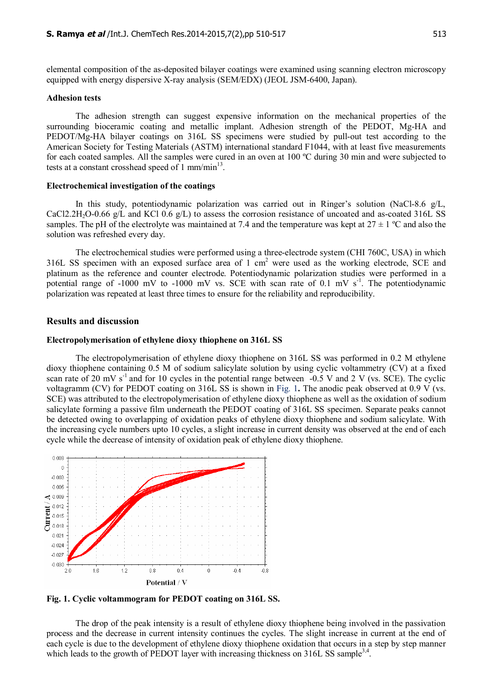elemental composition of the as-deposited bilayer coatings were examined using scanning electron microscopy equipped with energy dispersive X-ray analysis (SEM/EDX) (JEOL JSM-6400, Japan).

#### **Adhesion tests**

The adhesion strength can suggest expensive information on the mechanical properties of the surrounding bioceramic coating and metallic implant. Adhesion strength of the PEDOT, Mg-HA and PEDOT/Mg-HA bilayer coatings on 316L SS specimens were studied by pull-out test according to the American Society for Testing Materials (ASTM) international standard F1044, with at least five measurements for each coated samples. All the samples were cured in an oven at 100 ºC during 30 min and were subjected to tests at a constant crosshead speed of  $1$  mm/min $^{13}$ .

#### **Electrochemical investigation of the coatings**

In this study, potentiodynamic polarization was carried out in Ringer's solution (NaCl-8.6 g/L, CaCl2.2H<sub>2</sub>O-0.66 g/L and KCl 0.6 g/L) to assess the corrosion resistance of uncoated and as-coated 316L SS samples. The pH of the electrolyte was maintained at 7.4 and the temperature was kept at  $27 \pm 1$  °C and also the solution was refreshed every day.

The electrochemical studies were performed using a three-electrode system (CHI 760C, USA) in which 316L SS specimen with an exposed surface area of 1 cm<sup>2</sup> were used as the working electrode, SCE and platinum as the reference and counter electrode. Potentiodynamic polarization studies were performed in a potential range of -1000 mV to -1000 mV vs. SCE with scan rate of 0.1 mV  $s<sup>-1</sup>$ . The potentiodynamic polarization was repeated at least three times to ensure for the reliability and reproducibility.

#### **Results and discussion**

#### **Electropolymerisation of ethylene dioxy thiophene on 316L SS**

The electropolymerisation of ethylene dioxy thiophene on 316L SS was performed in 0.2 M ethylene dioxy thiophene containing 0.5 M of sodium salicylate solution by using cyclic voltammetry (CV) at a fixed scan rate of 20 mV s<sup>-1</sup> and for 10 cycles in the potential range between -0.5 V and 2 V (vs. SCE). The cyclic voltagramm (CV) for PEDOT coating on 316L SS is shown in Fig. 1**.** The anodic peak observed at 0.9 V (vs. SCE) was attributed to the electropolymerisation of ethylene dioxy thiophene as well as the oxidation of sodium salicylate forming a passive film underneath the PEDOT coating of 316L SS specimen. Separate peaks cannot be detected owing to overlapping of oxidation peaks of ethylene dioxy thiophene and sodium salicylate. With the increasing cycle numbers upto 10 cycles, a slight increase in current density was observed at the end of each cycle while the decrease of intensity of oxidation peak of ethylene dioxy thiophene.



**Fig. 1. Cyclic voltammogram for PEDOT coating on 316L SS.**

The drop of the peak intensity is a result of ethylene dioxy thiophene being involved in the passivation process and the decrease in current intensity continues the cycles. The slight increase in current at the end of each cycle is due to the development of ethylene dioxy thiophene oxidation that occurs in a step by step manner which leads to the growth of PEDOT layer with increasing thickness on 316L SS sample<sup>3,4</sup>.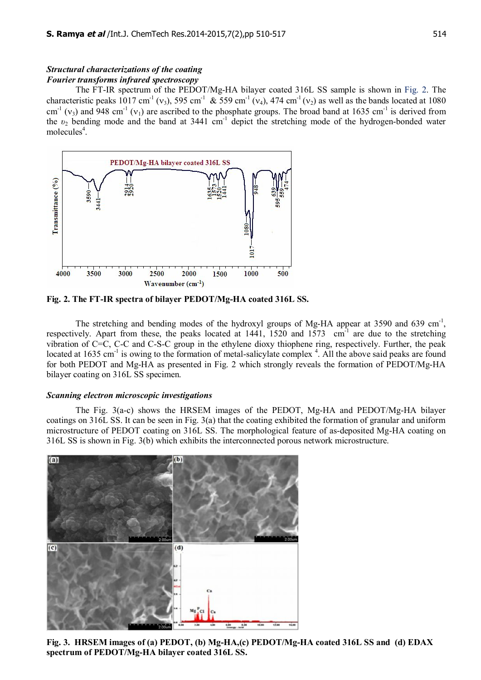#### *Structural characterizations of the coating Fourier transforms infrared spectroscopy*

The FT-IR spectrum of the PEDOT/Mg-HA bilayer coated 316L SS sample is shown in Fig. 2. The characteristic peaks 1017 cm<sup>-1</sup> (v<sub>3</sub>), 595 cm<sup>-1</sup> & 559 cm<sup>-1</sup> (v<sub>4</sub>), 474 cm<sup>-1</sup> (v<sub>2</sub>) as well as the bands located at 1080  $cm^{-1}$  (y<sub>3</sub>) and 948 cm<sup>-1</sup> (y<sub>1</sub>) are ascribed to the phosphate groups. The broad band at 1635 cm<sup>-1</sup> is derived from the  $v_2$  bending mode and the band at 3441 cm<sup>-1</sup> depict the stretching mode of the hydrogen-bonded water molecules<sup>4</sup>.



**Fig. 2. The FT-IR spectra of bilayer PEDOT/Mg-HA coated 316L SS.**

The stretching and bending modes of the hydroxyl groups of Mg-HA appear at 3590 and 639 cm<sup>-1</sup>, respectively. Apart from these, the peaks located at  $1441$ ,  $1520$  and  $1573$  cm<sup>-1</sup> are due to the stretching vibration of C=C, C-C and C-S-C group in the ethylene dioxy thiophene ring, respectively. Further, the peak located at 1635 cm<sup>-1</sup> is owing to the formation of metal-salicylate complex<sup>4</sup>. All the above said peaks are found for both PEDOT and Mg-HA as presented in Fig. 2 which strongly reveals the formation of PEDOT/Mg-HA bilayer coating on 316L SS specimen.

#### *Scanning electron microscopic investigations*

The Fig. 3(a-c) shows the HRSEM images of the PEDOT, Mg-HA and PEDOT/Mg-HA bilayer coatings on 316L SS. It can be seen in Fig. 3(a) that the coating exhibited the formation of granular and uniform microstructure of PEDOT coating on 316L SS. The morphological feature of as-deposited Mg-HA coating on 316L SS is shown in Fig. 3(b) which exhibits the interconnected porous network microstructure.



**Fig. 3. HRSEM images of (a) PEDOT, (b) Mg-HA,(c) PEDOT/Mg-HA coated 316L SS and (d) EDAX spectrum of PEDOT/Mg-HA bilayer coated 316L SS.**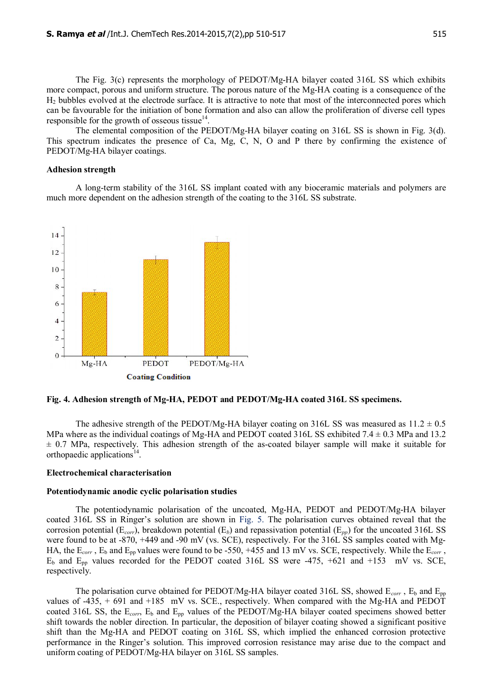The Fig. 3(c) represents the morphology of PEDOT/Mg-HA bilayer coated 316L SS which exhibits more compact, porous and uniform structure. The porous nature of the Mg-HA coating is a consequence of the H2 bubbles evolved at the electrode surface. It is attractive to note that most of the interconnected pores which can be favourable for the initiation of bone formation and also can allow the proliferation of diverse cell types responsible for the growth of osseous tissue $14$ .

The elemental composition of the PEDOT/Mg-HA bilayer coating on 316L SS is shown in Fig. 3(d). This spectrum indicates the presence of Ca, Mg, C, N, O and P there by confirming the existence of PEDOT/Mg-HA bilayer coatings.

#### **Adhesion strength**

A long-term stability of the 316L SS implant coated with any bioceramic materials and polymers are much more dependent on the adhesion strength of the coating to the 316L SS substrate.



#### **Fig. 4. Adhesion strength of Mg-HA, PEDOT and PEDOT/Mg-HA coated 316L SS specimens.**

The adhesive strength of the PEDOT/Mg-HA bilayer coating on 316L SS was measured as  $11.2 \pm 0.5$ MPa where as the individual coatings of Mg-HA and PEDOT coated 316L SS exhibited 7.4  $\pm$  0.3 MPa and 13.2  $\pm$  0.7 MPa, respectively. This adhesion strength of the as-coated bilayer sample will make it suitable for orthopaedic applications<sup>14</sup>.

#### **Electrochemical characterisation**

#### **Potentiodynamic anodic cyclic polarisation studies**

The potentiodynamic polarisation of the uncoated, Mg-HA, PEDOT and PEDOT/Mg-HA bilayer coated 316L SS in Ringer's solution are shown in Fig. 5. The polarisation curves obtained reveal that the corrosion potential (E*corr*), breakdown potential (E*b*) and repassivation potential (E*pp*) for the uncoated 316L SS were found to be at -870, +449 and -90 mV (vs. SCE), respectively. For the 316L SS samples coated with Mg-HA, the  $E_{corr}$ ,  $E_b$  and  $E_{pp}$  values were found to be -550, +455 and 13 mV vs. SCE, respectively. While the  $E_{corr}$ ,  $E_b$  and  $E_{pp}$  values recorded for the PEDOT coated 316L SS were -475, +621 and +153 mV vs. SCE, respectively.

The polarisation curve obtained for PEDOT/Mg-HA bilayer coated 316L SS, showed  $E_{corr}$ ,  $E_b$  and  $E_{nn}$ values of -435, + 691 and +185 mV vs. SCE., respectively. When compared with the Mg-HA and PEDOT coated 316L SS, the E<sub>corr</sub>, E<sub>b</sub> and E<sub>pp</sub> values of the PEDOT/Mg-HA bilayer coated specimens showed better shift towards the nobler direction. In particular, the deposition of bilayer coating showed a significant positive shift than the Mg-HA and PEDOT coating on 316L SS, which implied the enhanced corrosion protective performance in the Ringer's solution. This improved corrosion resistance may arise due to the compact and uniform coating of PEDOT/Mg-HA bilayer on 316L SS samples.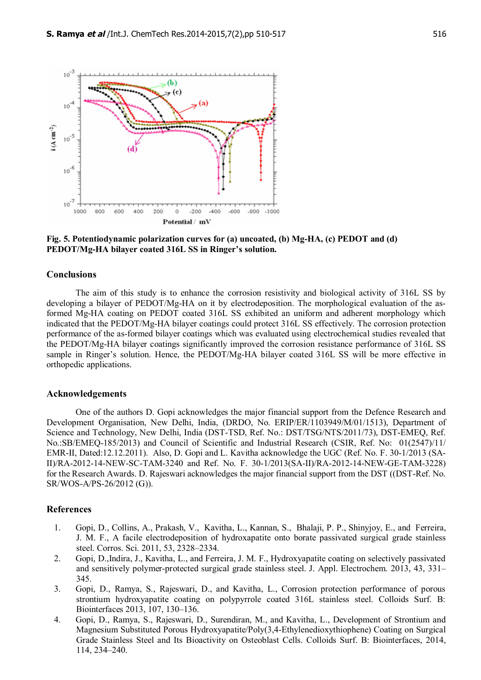

**Fig. 5. Potentiodynamic polarization curves for (a) uncoated, (b) Mg-HA, (c) PEDOT and (d) PEDOT/Mg-HA bilayer coated 316L SS in Ringer's solution.**

#### **Conclusions**

The aim of this study is to enhance the corrosion resistivity and biological activity of 316L SS by developing a bilayer of PEDOT/Mg-HA on it by electrodeposition. The morphological evaluation of the asformed Mg-HA coating on PEDOT coated 316L SS exhibited an uniform and adherent morphology which indicated that the PEDOT/Mg-HA bilayer coatings could protect 316L SS effectively. The corrosion protection performance of the as-formed bilayer coatings which was evaluated using electrochemical studies revealed that the PEDOT/Mg-HA bilayer coatings significantly improved the corrosion resistance performance of 316L SS sample in Ringer's solution. Hence, the PEDOT/Mg-HA bilayer coated 316L SS will be more effective in orthopedic applications.

#### **Acknowledgements**

One of the authors D. Gopi acknowledges the major financial support from the Defence Research and Development Organisation, New Delhi, India, (DRDO, No. ERIP/ER/1103949/M/01/1513), Department of Science and Technology, New Delhi, India (DST-TSD, Ref. No.: DST/TSG/NTS/2011/73), DST-EMEQ, Ref. No.:SB/EMEQ-185/2013) and Council of Scientific and Industrial Research (CSIR, Ref. No: 01(2547)/11/ EMR-II, Dated:12.12.2011). Also, D. Gopi and L. Kavitha acknowledge the UGC (Ref. No. F. 30-1/2013 (SA-II)/RA-2012-14-NEW-SC-TAM-3240 and Ref. No. F. 30-1/2013(SA-II)/RA-2012-14-NEW-GE-TAM-3228) for the Research Awards. D. Rajeswari acknowledges the major financial support from the DST ((DST-Ref. No. SR/WOS-A/PS-26/2012 (G)).

#### **References**

- 1. Gopi, D., Collins, A., Prakash, V., Kavitha, L., Kannan, S., Bhalaji, P. Ρ., Shinyjoy, E., and Ferreira, J. M. F., A facile electrodeposition of hydroxapatite onto borate passivated surgical grade stainless steel. Corros. Sci. 2011, 53, 2328–2334.
- 2. Gopi, D.,Indira, J., Kavitha, L., and Ferreira, J. M. F., Hydroxyapatite coating on selectively passivated and sensitively polymer-protected surgical grade stainless steel. J. Appl. Electrochem. 2013, 43, 331– 345.
- 3. Gopi, D., Ramya, S., Rajeswari, D., and Kavitha, L., Corrosion protection performance of porous strontium hydroxyapatite coating on polypyrrole coated 316L stainless steel. Colloids Surf. B: Biointerfaces 2013, 107, 130–136.
- 4. Gopi, D., Ramya, S., Rajeswari, D., Surendiran, M., and Kavitha, L., Development of Strontium and Magnesium Substituted Porous Hydroxyapatite/Poly(3,4-Ethylenedioxythiophene) Coating on Surgical Grade Stainless Steel and Its Bioactivity on Osteoblast Cells. Colloids Surf. B: Biointerfaces, 2014, 114, 234–240.